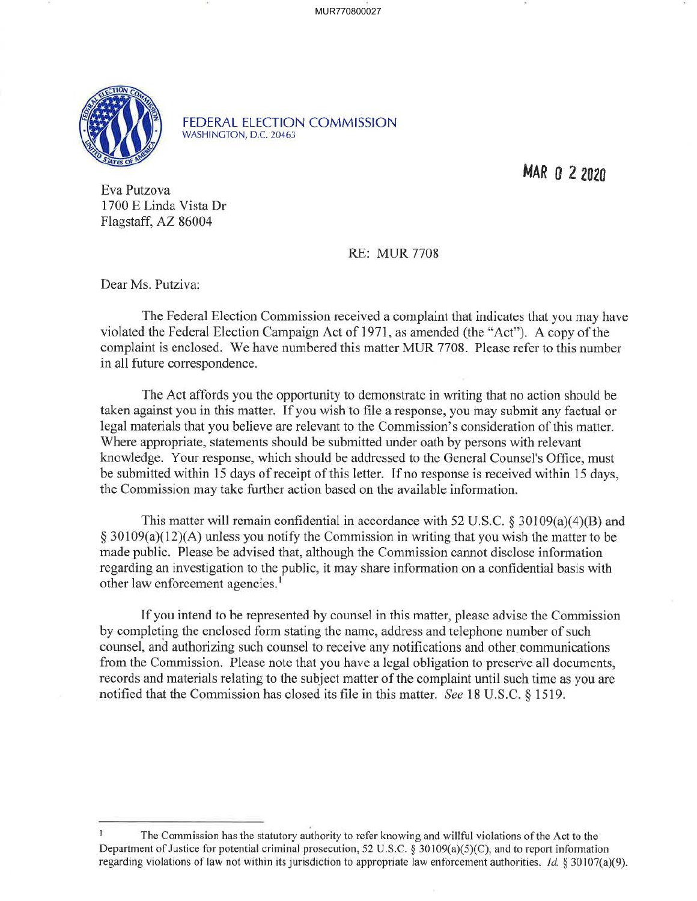MUR770800027



FEDERAL ELECTION COMMISSION WASHINGTON, D.C. 20463

MAR O 2 **<sup>2020</sup>**

Eva Putzova 1700 E Linda Vista Dr Flagstaff, AZ 86004

RE: MUR 7708

Dear Ms. Putziva:

The Federal Election Commission received a complaint that indicates that you may have violated the Federal Election Campaign Act of 1971, as amended (the "Act"). A copy of the complaint is enclosed. We have numbered this matter MUR 7708. Please refer to this number in all future correspondence.

The Act affords you the opportunity to demonstrate in writing that no action should be taken against you in this matter. If you wish to file a response, you may submit any factual or legal materials that you believe are relevant to the Commission's consideration of this matter. Where appropriate, statements should be submitted under oath by persons with relevant knowledge. Your response, which should be addressed to the General Counsel's Office, must be submitted within 15 days of receipt of this letter. If no response is received within 15 days, the Commission may take further action based on the available information.

This matter will remain confidential in accordance with 52 U.S.C. § 30109(a)(4)(B) and  $\S 30109(a)(12)(A)$  unless you notify the Commission in writing that you wish the matter to be made public. Please be advised that, although the Commission cannot disclose information regarding an investigation to the public, it may share information on a confidential basis with other law enforcement agencies.<sup>1</sup>

If you intend to be represented by counsel in this matter, please advise the Commission by completing the enclosed form stating the name, address and telephone number of such counsel, and authorizing such counsel to receive any notifications and other communications from the Commission. Please note that you have a legal obligation to preserve all documents, records and materials relating to the subject matter of the complaint until such time as you are notified that the Commission bas closed its file in this matter. *See* 18 U.S.C. § 1519.

The Commission has the statutory authority to refer knowing and willful violations of the Act to the Department of Justice for potential criminal prosecution, 52 U.S.C. § 30109(a)(5)(C), and to report information regarding violations of law not within its jurisdiction to appropriate law enforcement authorities. *Id.* § 30107(a)(9).